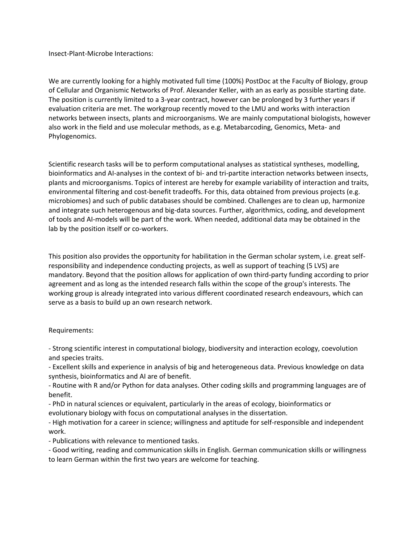Insect-Plant-Microbe Interactions:

We are currently looking for a highly motivated full time (100%) PostDoc at the Faculty of Biology, group of Cellular and Organismic Networks of Prof. Alexander Keller, with an as early as possible starting date. The position is currently limited to a 3-year contract, however can be prolonged by 3 further years if evaluation criteria are met. The workgroup recently moved to the LMU and works with interaction networks between insects, plants and microorganisms. We are mainly computational biologists, however also work in the field and use molecular methods, as e.g. Metabarcoding, Genomics, Meta- and Phylogenomics.

Scientific research tasks will be to perform computational analyses as statistical syntheses, modelling, bioinformatics and AI-analyses in the context of bi- and tri-partite interaction networks between insects, plants and microorganisms. Topics of interest are hereby for example variability of interaction and traits, environmental filtering and cost-benefit tradeoffs. For this, data obtained from previous projects (e.g. microbiomes) and such of public databases should be combined. Challenges are to clean up, harmonize and integrate such heterogenous and big-data sources. Further, algorithmics, coding, and development of tools and AI-models will be part of the work. When needed, additional data may be obtained in the lab by the position itself or co-workers.

This position also provides the opportunity for habilitation in the German scholar system, i.e. great selfresponsibility and independence conducting projects, as well as support of teaching (5 LVS) are mandatory. Beyond that the position allows for application of own third-party funding according to prior agreement and as long as the intended research falls within the scope of the group's interests. The working group is already integrated into various different coordinated research endeavours, which can serve as a basis to build up an own research network.

## Requirements:

- Strong scientific interest in computational biology, biodiversity and interaction ecology, coevolution and species traits.

- Excellent skills and experience in analysis of big and heterogeneous data. Previous knowledge on data synthesis, bioinformatics and AI are of benefit.

- Routine with R and/or Python for data analyses. Other coding skills and programming languages are of benefit.

- PhD in natural sciences or equivalent, particularly in the areas of ecology, bioinformatics or evolutionary biology with focus on computational analyses in the dissertation.

- High motivation for a career in science; willingness and aptitude for self-responsible and independent work.

- Publications with relevance to mentioned tasks.

- Good writing, reading and communication skills in English. German communication skills or willingness to learn German within the first two years are welcome for teaching.